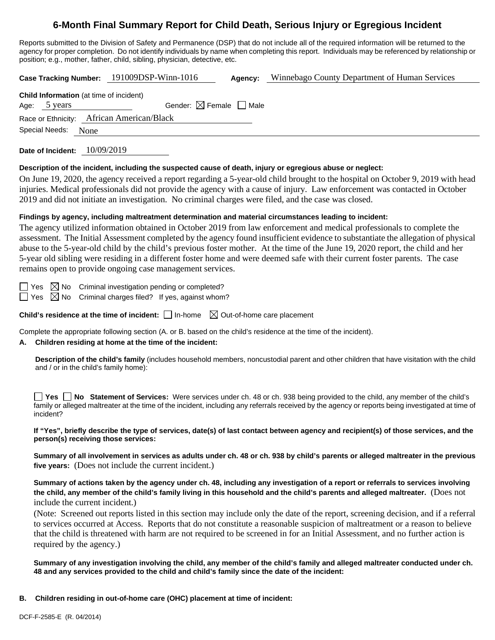# **6-Month Final Summary Report for Child Death, Serious Injury or Egregious Incident**

Reports submitted to the Division of Safety and Permanence (DSP) that do not include all of the required information will be returned to the agency for proper completion. Do not identify individuals by name when completing this report. Individuals may be referenced by relationship or position; e.g., mother, father, child, sibling, physician, detective, etc.

**Case Tracking Number:** 191009DSP-Winn-1016 **Agency:** Winnebago County Department of Human Services

| <b>Child Information</b> (at time of incident) |                                    |  |                                        |  |  |  |  |  |
|------------------------------------------------|------------------------------------|--|----------------------------------------|--|--|--|--|--|
|                                                | Age: 5 years                       |  | Gender: $\boxtimes$ Female $\Box$ Male |  |  |  |  |  |
| Race or Ethnicity: African American/Black      |                                    |  |                                        |  |  |  |  |  |
|                                                | $\sim$ $\sim$ $\sim$ $\sim$ $\sim$ |  |                                        |  |  |  |  |  |

Special Needs: None

**Date of Incident:** 10/09/2019

#### **Description of the incident, including the suspected cause of death, injury or egregious abuse or neglect:**

On June 19, 2020, the agency received a report regarding a 5-year-old child brought to the hospital on October 9, 2019 with head injuries. Medical professionals did not provide the agency with a cause of injury. Law enforcement was contacted in October 2019 and did not initiate an investigation. No criminal charges were filed, and the case was closed.

#### **Findings by agency, including maltreatment determination and material circumstances leading to incident:**

The agency utilized information obtained in October 2019 from law enforcement and medical professionals to complete the assessment. The Initial Assessment completed by the agency found insufficient evidence to substantiate the allegation of physical abuse to the 5-year-old child by the child's previous foster mother. At the time of the June 19, 2020 report, the child and her 5-year old sibling were residing in a different foster home and were deemed safe with their current foster parents. The case remains open to provide ongoing case management services.

 $\Box$  Yes  $\boxtimes$  No Criminal investigation pending or completed?  $\Box$  Yes  $\boxtimes$  No Criminal charges filed? If yes, against whom?

**Child's residence at the time of incident:**  $\Box$  In-home  $\Box$  Out-of-home care placement

Complete the appropriate following section (A. or B. based on the child's residence at the time of the incident).

#### **A. Children residing at home at the time of the incident:**

**Description of the child's family** (includes household members, noncustodial parent and other children that have visitation with the child and / or in the child's family home):

**Yes No** Statement of Services: Were services under ch. 48 or ch. 938 being provided to the child, any member of the child's family or alleged maltreater at the time of the incident, including any referrals received by the agency or reports being investigated at time of incident?

**If "Yes", briefly describe the type of services, date(s) of last contact between agency and recipient(s) of those services, and the person(s) receiving those services:**

**Summary of all involvement in services as adults under ch. 48 or ch. 938 by child's parents or alleged maltreater in the previous five years:** (Does not include the current incident.)

**Summary of actions taken by the agency under ch. 48, including any investigation of a report or referrals to services involving the child, any member of the child's family living in this household and the child's parents and alleged maltreater.** (Does not include the current incident.)

(Note: Screened out reports listed in this section may include only the date of the report, screening decision, and if a referral to services occurred at Access. Reports that do not constitute a reasonable suspicion of maltreatment or a reason to believe that the child is threatened with harm are not required to be screened in for an Initial Assessment, and no further action is required by the agency.)

**Summary of any investigation involving the child, any member of the child's family and alleged maltreater conducted under ch. 48 and any services provided to the child and child's family since the date of the incident:**

**B. Children residing in out-of-home care (OHC) placement at time of incident:**